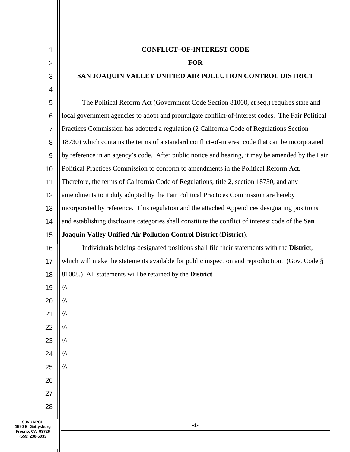| ٠ |
|---|
| 2 |
|   |

3

4

**(559) 230-6033**

## **CONFLICT–OF-INTEREST CODE**

## **FOR**

## **SAN JOAQUIN VALLEY UNIFIED AIR POLLUTION CONTROL DISTRICT**

5 6 7 8 9 10 11 12 13 14 15 16 17 18 19 20 21 22 23 24 25 26 27 28 The Political Reform Act (Government Code Section 81000, et seq.) requires state and local government agencies to adopt and promulgate conflict-of-interest codes. The Fair Political Practices Commission has adopted a regulation (2 California Code of Regulations Section 18730) which contains the terms of a standard conflict-of-interest code that can be incorporated by reference in an agency's code. After public notice and hearing, it may be amended by the Fair Political Practices Commission to conform to amendments in the Political Reform Act. Therefore, the terms of California Code of Regulations, title 2, section 18730, and any amendments to it duly adopted by the Fair Political Practices Commission are hereby incorporated by reference. This regulation and the attached Appendices designating positions and establishing disclosure categories shall constitute the conflict of interest code of the **San Joaquin Valley Unified Air Pollution Control District** (**District**). Individuals holding designated positions shall file their statements with the **District**, which will make the statements available for public inspection and reproduction. (Gov. Code § 81008.) All statements will be retained by the **District**.  $\mathcal{W}$  $\mathcal{U}\mathcal{U}$  $\sqrt{\sqrt{2}}$  $\langle$  $\mathcal{U}\mathcal{U}$  $\mathcal{U}\mathcal{U}$  $\mathcal{U}\mathcal{V}$ -1- **SJVUAPCD 1990 E. Gettysburg Fresno, CA 93726**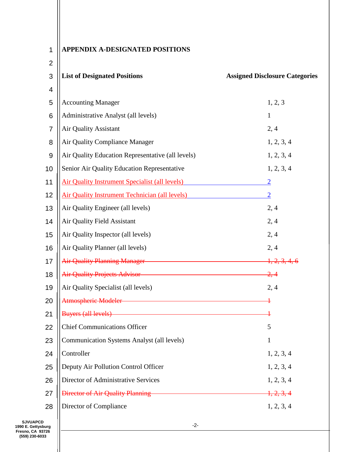1  $\overline{a}$ 

## **APPENDIX A-DESIGNATED POSITIONS**

| $\overline{2}$                        |                                                                   |                                       |  |
|---------------------------------------|-------------------------------------------------------------------|---------------------------------------|--|
| 3                                     | <b>List of Designated Positions</b>                               | <b>Assigned Disclosure Categories</b> |  |
| 4                                     |                                                                   |                                       |  |
| 5                                     | <b>Accounting Manager</b>                                         | 1, 2, 3                               |  |
| 6                                     | Administrative Analyst (all levels)                               | $\mathbf{1}$                          |  |
| $\overline{7}$                        | Air Quality Assistant                                             | 2, 4                                  |  |
| 8                                     | Air Quality Compliance Manager                                    | 1, 2, 3, 4                            |  |
| 9                                     | Air Quality Education Representative (all levels)                 | 1, 2, 3, 4                            |  |
| 10                                    | Senior Air Quality Education Representative                       | 1, 2, 3, 4                            |  |
| 11                                    | <b>Air Quality Instrument Specialist (all levels)</b>             | $\overline{2}$                        |  |
| 12                                    | <b>Air Quality Instrument Technician (all levels)</b>             | $\overline{2}$                        |  |
| 13                                    | Air Quality Engineer (all levels)<br>2, 4                         |                                       |  |
| 14                                    | Air Quality Field Assistant                                       | 2, 4                                  |  |
| 15                                    | Air Quality Inspector (all levels)                                | 2, 4                                  |  |
| 16                                    | Air Quality Planner (all levels)                                  | 2, 4                                  |  |
| 17                                    | <b>Air Quality Planning Manager</b>                               |                                       |  |
| 18                                    | <b>Air Quality Projects Advisor-</b><br>2,4                       |                                       |  |
| 19                                    | Air Quality Specialist (all levels)<br>2, 4                       |                                       |  |
| 20                                    | <b>Atmospheric Modeler</b>                                        |                                       |  |
| 21                                    | <b>Buyers (all levels)</b>                                        |                                       |  |
| 22                                    | <b>Chief Communications Officer</b><br>5                          |                                       |  |
| 23                                    | <b>Communication Systems Analyst (all levels)</b><br>$\mathbf{1}$ |                                       |  |
| 24                                    | Controller<br>1, 2, 3, 4                                          |                                       |  |
| 25                                    | Deputy Air Pollution Control Officer<br>1, 2, 3, 4                |                                       |  |
| 26                                    | Director of Administrative Services<br>1, 2, 3, 4                 |                                       |  |
| 27                                    | Director of Air Quality Planning<br>1, 2, 3, 4                    |                                       |  |
| 28                                    | Director of Compliance<br>1, 2, 3, 4                              |                                       |  |
| <b>SJVUAPCD</b><br>1990 E. Gettysburg | $-2-$                                                             |                                       |  |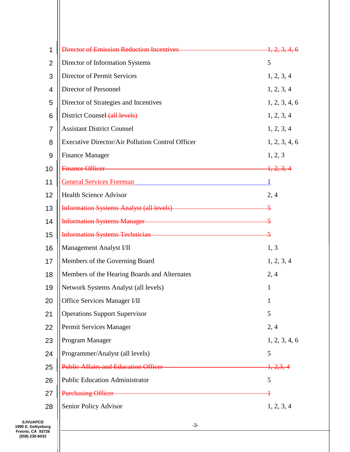| 1                                     | Director of Emission Reduction Incentives <b>Exercísion</b> Contains a Director of Emission Reduction Incentives                                                                                                                 | <del>1, 2, 3,</del>     |
|---------------------------------------|----------------------------------------------------------------------------------------------------------------------------------------------------------------------------------------------------------------------------------|-------------------------|
| $\overline{2}$                        | Director of Information Systems                                                                                                                                                                                                  | 5                       |
| 3                                     | <b>Director of Permit Services</b>                                                                                                                                                                                               | 1, 2, 3, 4              |
| 4                                     | Director of Personnel                                                                                                                                                                                                            | 1, 2, 3, 4              |
| 5                                     | Director of Strategies and Incentives                                                                                                                                                                                            | 1, 2, 3, 4, 6           |
| 6                                     | District Counsel (all levels)                                                                                                                                                                                                    | 1, 2, 3, 4              |
| 7                                     | <b>Assistant District Counsel</b>                                                                                                                                                                                                | 1, 2, 3, 4              |
| 8                                     | <b>Executive Director/Air Pollution Control Officer</b>                                                                                                                                                                          | 1, 2, 3, 4, 6           |
| 9                                     | <b>Finance Manager</b>                                                                                                                                                                                                           | 1, 2, 3                 |
| 10                                    | Finance Officer <b>Example 2018</b> Finance Officer                                                                                                                                                                              | 1, 2, 3, 4              |
| 11                                    | <b>General Services Foreman Services Constanting Constanting Constanting Constanting Constanting Constanting Constanting Constanting Constanting Constanting Constanting Constanting Constanting Constanting Constanting Con</b> |                         |
| 12                                    | <b>Health Science Advisor</b>                                                                                                                                                                                                    | 2, 4                    |
| 13                                    | Information Systems Analyst (all levels)                                                                                                                                                                                         | $\overline{5}$          |
| 14                                    |                                                                                                                                                                                                                                  | $\overline{\mathbf{z}}$ |
| 15                                    | Information Systems Technician<br>The Contract of the Contract of the Contract of the Contract of the Contract of the Contract of the Contract of the Contract of the Contract of the Contract of the Contract of the Contract o | $\overline{5}$          |
| 16                                    | Management Analyst I/II                                                                                                                                                                                                          | 1, 3                    |
| 17                                    | Members of the Governing Board                                                                                                                                                                                                   | 1, 2, 3, 4              |
| 18                                    | Members of the Hearing Boards and Alternates<br>2, 4                                                                                                                                                                             |                         |
| 19                                    | Network Systems Analyst (all levels)<br>1                                                                                                                                                                                        |                         |
| 20                                    | Office Services Manager I/II<br>$\mathbf{1}$                                                                                                                                                                                     |                         |
| 21                                    | <b>Operations Support Supervisor</b><br>5                                                                                                                                                                                        |                         |
| 22                                    | Permit Services Manager<br>2, 4                                                                                                                                                                                                  |                         |
| 23                                    | Program Manager                                                                                                                                                                                                                  | 1, 2, 3, 4, 6           |
| 24                                    | Programmer/Analyst (all levels)<br>5                                                                                                                                                                                             |                         |
| 25                                    | <b>Public Affairs and Education Officer</b>                                                                                                                                                                                      | 1, 2, 3.                |
| 26                                    | <b>Public Education Administrator</b>                                                                                                                                                                                            | 5                       |
| 27                                    | <b>Purchasing Officer</b>                                                                                                                                                                                                        |                         |
| 28                                    | Senior Policy Advisor                                                                                                                                                                                                            | 1, 2, 3, 4              |
| <b>SJVUAPCD</b><br>1990 E. Gettysburg | $-3-$                                                                                                                                                                                                                            |                         |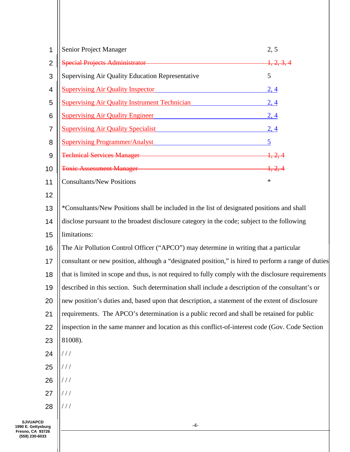| 1                              | Senior Project Manager<br>2, 5                                                                                                                                                                                                                    |  |  |
|--------------------------------|---------------------------------------------------------------------------------------------------------------------------------------------------------------------------------------------------------------------------------------------------|--|--|
| $\overline{2}$                 | <b>Special Projects Administrator</b><br>1, 2, 3.                                                                                                                                                                                                 |  |  |
| 3                              | Supervising Air Quality Education Representative<br>5                                                                                                                                                                                             |  |  |
| 4                              | <b>Supervising Air Quality Inspector</b><br>2, 4                                                                                                                                                                                                  |  |  |
| 5                              | <b>Supervising Air Quality Instrument Technician</b><br>2, 4                                                                                                                                                                                      |  |  |
| 6                              | <b>Supervising Air Quality Engineer</b><br>2, 4                                                                                                                                                                                                   |  |  |
| 7                              | <b>Supervising Air Quality Specialist</b> Manual Accounts of the Supervision of the Supervision of the Supervision of the Supervision of the Supervision of the Supervision of the Supervision of the Supervision of the Supervisio<br><u>2,4</u> |  |  |
| 8                              | <b>Supervising Programmer/Analyst</b> Manual Analysis<br>$\overline{5}$                                                                                                                                                                           |  |  |
| 9                              | Technical Services Manager<br>Technical Services Manager<br>1, 2, 4                                                                                                                                                                               |  |  |
| 10                             | Toxic Assessment Manager<br>Toxic Assessment Manager<br>1, 2, 4                                                                                                                                                                                   |  |  |
| 11                             | $\ast$<br><b>Consultants/New Positions</b>                                                                                                                                                                                                        |  |  |
| 12                             |                                                                                                                                                                                                                                                   |  |  |
| 13                             | *Consultants/New Positions shall be included in the list of designated positions and shall                                                                                                                                                        |  |  |
| 14                             | disclose pursuant to the broadest disclosure category in the code; subject to the following                                                                                                                                                       |  |  |
| 15                             | limitations:                                                                                                                                                                                                                                      |  |  |
| 16                             | The Air Pollution Control Officer ("APCO") may determine in writing that a particular                                                                                                                                                             |  |  |
| 17                             | consultant or new position, although a "designated position," is hired to perform a range of duties                                                                                                                                               |  |  |
| 18                             | that is limited in scope and thus, is not required to fully comply with the disclosure requirements                                                                                                                                               |  |  |
| 19                             | described in this section. Such determination shall include a description of the consultant's or                                                                                                                                                  |  |  |
| 20                             | new position's duties and, based upon that description, a statement of the extent of disclosure                                                                                                                                                   |  |  |
| 21                             | requirements. The APCO's determination is a public record and shall be retained for public                                                                                                                                                        |  |  |
| 22                             | inspection in the same manner and location as this conflict-of-interest code (Gov. Code Section                                                                                                                                                   |  |  |
| 23                             | 81008).                                                                                                                                                                                                                                           |  |  |
| 24                             | ///                                                                                                                                                                                                                                               |  |  |
| 25                             | ///                                                                                                                                                                                                                                               |  |  |
| 26                             | $^{\prime}$ / $^{\prime}$                                                                                                                                                                                                                         |  |  |
| 27                             | $\frac{1}{2}$                                                                                                                                                                                                                                     |  |  |
| 28                             |                                                                                                                                                                                                                                                   |  |  |
| SJVUAPCD<br>1990 E. Gettysburg | -4-                                                                                                                                                                                                                                               |  |  |

**Fresno, CA 93726 (559) 230-6033**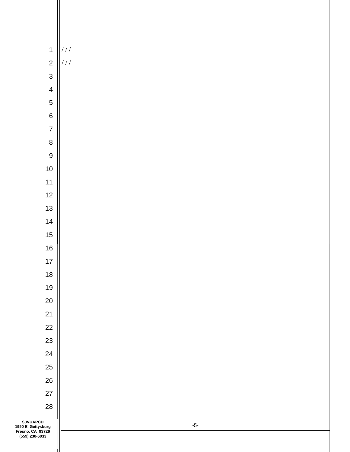| $\mathbf{1}$                                                         | $\frac{1}{2}$ |
|----------------------------------------------------------------------|---------------|
| $\overline{c}$                                                       | 111           |
| $\overline{3}$                                                       |               |
| $\overline{\mathbf{4}}$                                              |               |
| $\overline{5}$                                                       |               |
| $\boldsymbol{6}$                                                     |               |
| $\overline{7}$                                                       |               |
| $\boldsymbol{8}$                                                     |               |
| $\overline{9}$                                                       |               |
| 10                                                                   |               |
| $11$                                                                 |               |
| $12$                                                                 |               |
| 13                                                                   |               |
| 14                                                                   |               |
| 15                                                                   |               |
| $16$                                                                 |               |
| 17                                                                   |               |
| 18                                                                   |               |
| 19                                                                   |               |
| $20\,$                                                               |               |
| 21                                                                   |               |
| 22                                                                   |               |
| 23                                                                   |               |
| 24                                                                   |               |
| 25                                                                   |               |
| 26                                                                   |               |
| 27                                                                   |               |
| 28                                                                   |               |
| SJVUAPCD<br>1990 E. Gettysburg<br>Fresno, CA 93726<br>(559) 230-6033 | $-5-$         |

 $\mathbf{H}$